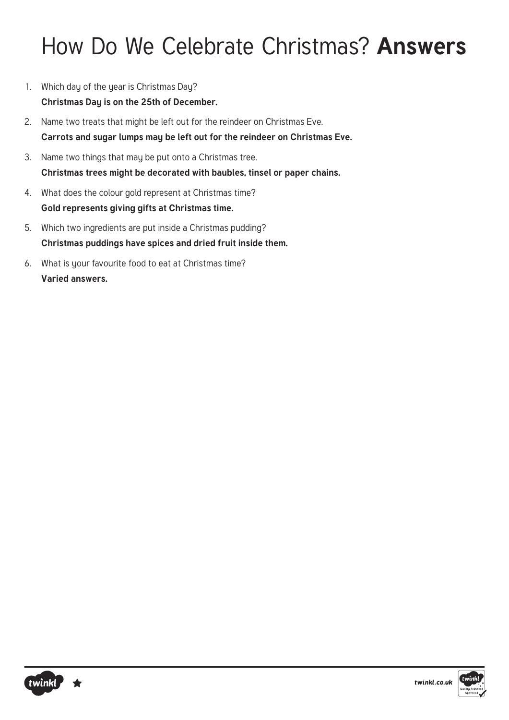### How Do We Celebrate Christmas? **Answers**

- 1. Which day of the year is Christmas Day? **Christmas Day is on the 25th of December.**
- 2. Name two treats that might be left out for the reindeer on Christmas Eve. **Carrots and sugar lumps may be left out for the reindeer on Christmas Eve.**
- 3. Name two things that may be put onto a Christmas tree. **Christmas trees might be decorated with baubles, tinsel or paper chains.**
- 4. What does the colour gold represent at Christmas time? **Gold represents giving gifts at Christmas time.**
- 5. Which two ingredients are put inside a Christmas pudding? **Christmas puddings have spices and dried fruit inside them.**
- 6. What is your favourite food to eat at Christmas time? **Varied answers.**



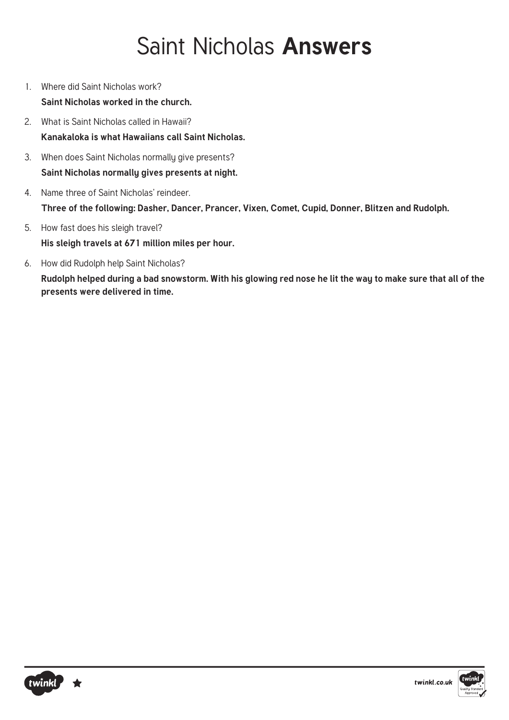### Saint Nicholas **Answers**

- 1. Where did Saint Nicholas work? **Saint Nicholas worked in the church.**
- 2. What is Saint Nicholas called in Hawaii? **Kanakaloka is what Hawaiians call Saint Nicholas.**
- 3. When does Saint Nicholas normally give presents? **Saint Nicholas normally gives presents at night.**
- 4. Name three of Saint Nicholas' reindeer. **Three of the following: Dasher, Dancer, Prancer, Vixen, Comet, Cupid, Donner, Blitzen and Rudolph.**
- 5. How fast does his sleigh travel? **His sleigh travels at 671 million miles per hour.**
- 6. How did Rudolph help Saint Nicholas?

**Rudolph helped during a bad snowstorm. With his glowing red nose he lit the way to make sure that all of the presents were delivered in time.**



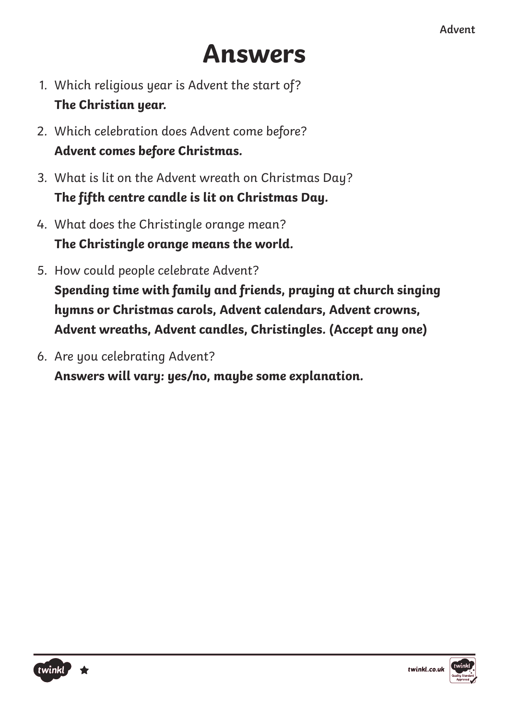# **Answers**

- 1. Which religious year is Advent the start of? **The Christian year.**
- 2. Which celebration does Advent come before? **Advent comes before Christmas.**
- 3. What is lit on the Advent wreath on Christmas Day? The fifth centre candle is lit on Christmas Day.
- 4. What does the Christingle orange mean? **The Christingle orange means the world.**
- 5. How could people celebrate Advent? **Spending time with family and friends, praying at church singing hymns or Christmas carols, Advent calendars, Advent crowns, Advent wreaths, Advent candles, Christingles. (Accept any one)**
- 6. Are you celebrating Advent?

**Answers will vary: yes/no, maybe some explanation.**



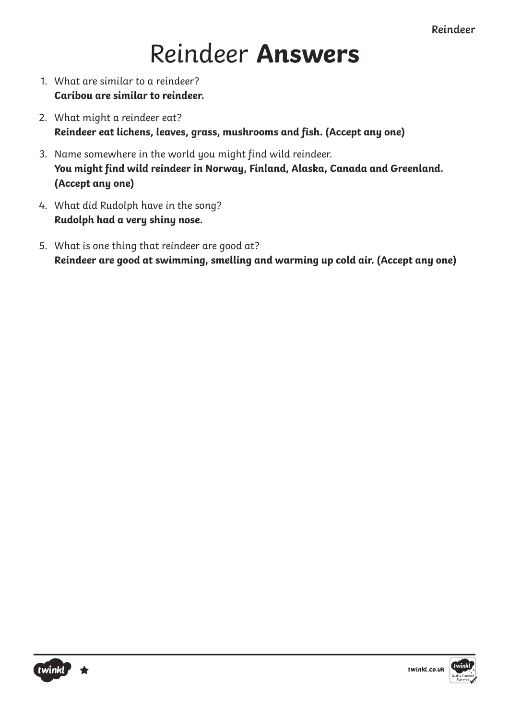## Reindeer **Answers**

- 1. What are similar to a reindeer? **Caribou are similar to reindeer.**
- 2. What might a reindeer eat? **Reindeer eat lichens, leaves, grass, mushrooms and fish. (Accept any one)**
- 3. Name somewhere in the world you might find wild reindeer. You might find wild reindeer in Norway, Finland, Alaska, Canada and Greenland. **(Accept any one)**
- 4. What did Rudolph have in the song? **Rudolph had a very shiny nose.**
- 5. What is one thing that reindeer are good at? Reindeer are good at swimming, smelling and warming up cold air. (Accept any one)